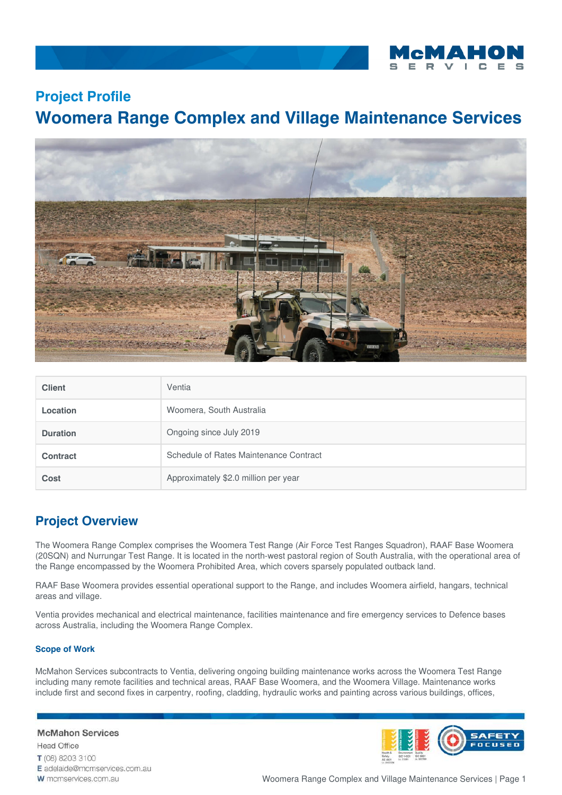

## **Project Profile**

# **Woomera Range Complex and Village Maintenance Services**



| <b>Client</b>   | Ventia                                 |
|-----------------|----------------------------------------|
| Location        | Woomera, South Australia               |
| <b>Duration</b> | Ongoing since July 2019                |
| <b>Contract</b> | Schedule of Rates Maintenance Contract |
| <b>Cost</b>     | Approximately \$2.0 million per year   |

## **Project Overview**

The Woomera Range Complex comprises the Woomera Test Range (Air Force Test Ranges Squadron), RAAF Base Woomera (20SQN) and Nurrungar Test Range. It is located in the north-west pastoral region of South Australia, with the operational area of the Range encompassed by the Woomera Prohibited Area, which covers sparsely populated outback land.

RAAF Base Woomera provides essential operational support to the Range, and includes Woomera airfield, hangars, technical areas and village.

Ventia provides mechanical and electrical maintenance, facilities maintenance and fire emergency services to Defence bases across Australia, including the Woomera Range Complex.

### **Scope of Work**

McMahon Services subcontracts to Ventia, delivering ongoing building maintenance works across the Woomera Test Range including many remote facilities and technical areas, RAAF Base Woomera, and the Woomera Village. Maintenance works include first and second fixes in carpentry, roofing, cladding, hydraulic works and painting across various buildings, offices,

### **McMahon Services**

**Head Office** T (08) 8203 3100 E adelaide@mcmservices.com.au W mcmservices.com.au